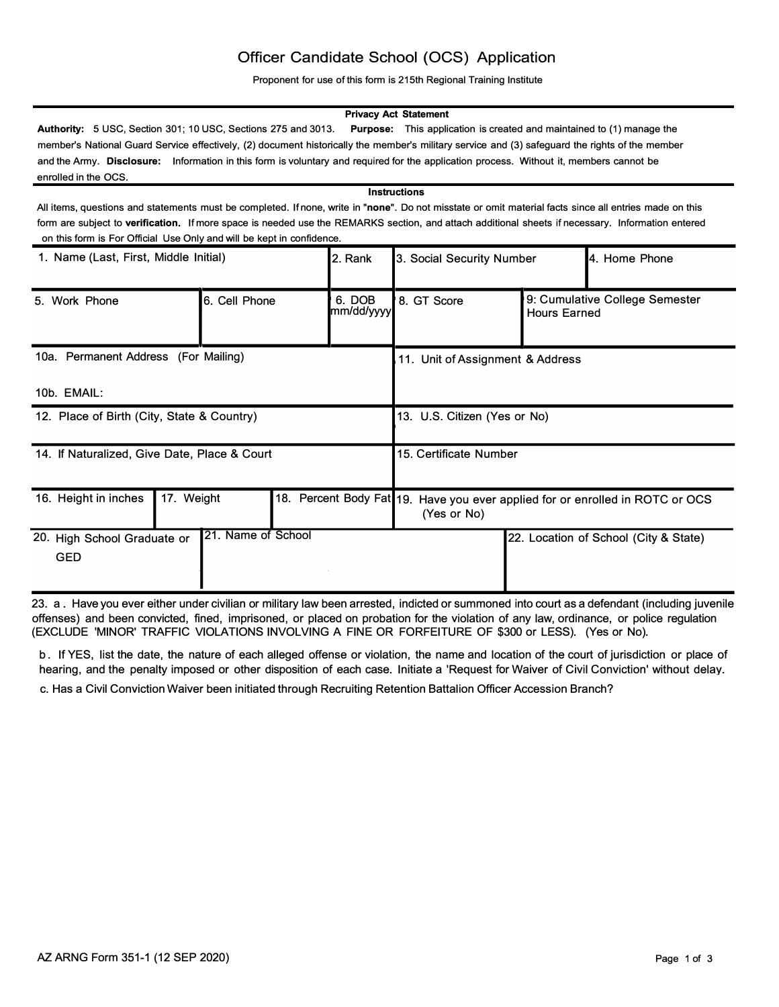# Officer Candidate School (OCS) Application

Proponent for use of this form is 215th Regional Training Institute

### **Privacy Act Statement**

**Authority:** 5 USC, Section 301; 10 USC, Sections 275 and 3013. **Purpose:** This application is created and maintained to (1) manage the member's National Guard Service effectively, (2) document historically the member's military service and (3) safeguard the rights of the member and the Army. **Disclosure:** Information in this form is voluntary and required for the application process. Without it, members cannot be enrolled in the OCS.

#### **Instructions**

All items, questions and statements must be completed. If none, write in **"none".** Do not misstate or omit material facts since all entries made on this form are subject to **verification.** If more space is needed use the REMARKS section, and attach additional sheets if necessary. Information entered on this form is For Official Use Only and will be kept in confidence.

| 1. Name (Last, First, Middle Initial)        |                    | 2. Rank | 3. Social Security Number        |                                                                                              | <b>4. Home Phone</b>                                  |                                       |
|----------------------------------------------|--------------------|---------|----------------------------------|----------------------------------------------------------------------------------------------|-------------------------------------------------------|---------------------------------------|
| 5. Work Phone                                | 6. Cell Phone      |         | 6. DOB<br>mm/dd/yyyy             | 8. GT Score                                                                                  | 9: Cumulative College Semester<br><b>Hours Earned</b> |                                       |
| 10a. Permanent Address (For Mailing)         |                    |         | 11. Unit of Assignment & Address |                                                                                              |                                                       |                                       |
| 10b. EMAIL:                                  |                    |         |                                  |                                                                                              |                                                       |                                       |
| 12. Place of Birth (City, State & Country)   |                    |         |                                  | 13. U.S. Citizen (Yes or No)                                                                 |                                                       |                                       |
| 14. If Naturalized, Give Date, Place & Court |                    |         |                                  | 15. Certificate Number                                                                       |                                                       |                                       |
| 16. Height in inches                         | 17. Weight         |         |                                  | 18. Percent Body Fat 19. Have you ever applied for or enrolled in ROTC or OCS<br>(Yes or No) |                                                       |                                       |
| 20. High School Graduate or<br><b>GED</b>    | 21. Name of School |         |                                  |                                                                                              |                                                       | 22. Location of School (City & State) |

23. a . Have you ever either under civilian or military law been arrested, indicted or summoned into court as a defendant (including juvenile offenses) and been convicted, fined, imprisoned, or placed on probation for the violation of any law, ordinance, or police regulation (EXCLUDE 'MINOR' TRAFFIC VIOLATIONS INVOLVING A FINE OR FORFEITURE OF \$300 or LESS). (Yes or No).

b . If YES, list the date, the nature of each alleged offense or violation, the name and location of the court of jurisdiction or place of hearing, and the penalty imposed or other disposition of each case. Initiate a 'Request for Waiver of Civil Conviction' without delay. c. Has a Civil Conviction Waiver been initiated through Recruiting Retention Battalion Officer Accession Branch?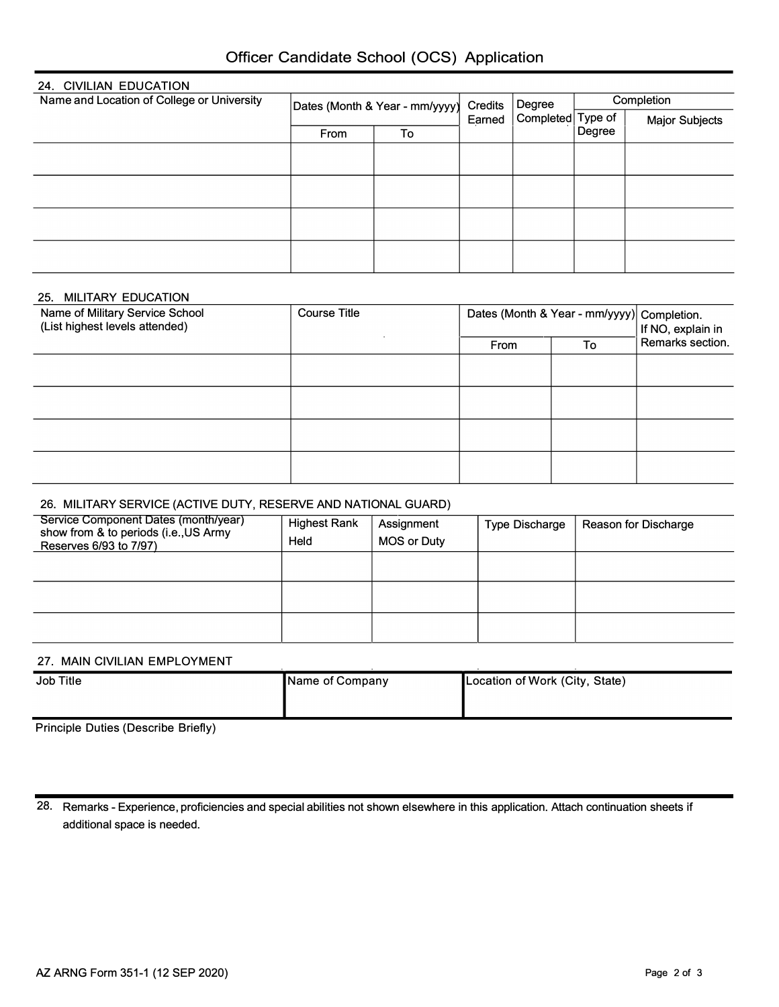| Officer Candidate School (OCS) Application |  |  |
|--------------------------------------------|--|--|
|--------------------------------------------|--|--|

| 24. CIVILIAN EDUCATION                     |                                |    |                   |                             |            |                       |
|--------------------------------------------|--------------------------------|----|-------------------|-----------------------------|------------|-----------------------|
| Name and Location of College or University | Dates (Month & Year - mm/yyyy) |    | Credits<br>Earned | Degree<br>Completed Type of | Completion |                       |
|                                            |                                |    |                   |                             |            | <b>Major Subjects</b> |
|                                            | From                           | To |                   |                             | Degree     |                       |
|                                            |                                |    |                   |                             |            |                       |
|                                            |                                |    |                   |                             |            |                       |
|                                            |                                |    |                   |                             |            |                       |
|                                            |                                |    |                   |                             |            |                       |
|                                            |                                |    |                   |                             |            |                       |
|                                            |                                |    |                   |                             |            |                       |
|                                            |                                |    |                   |                             |            |                       |
|                                            |                                |    |                   |                             |            |                       |

## 25. MILITARY EDUCATION

| <b>Course Title</b> |  | If NO, explain in |                                            |
|---------------------|--|-------------------|--------------------------------------------|
|                     |  | To                | Remarks section.                           |
|                     |  |                   |                                            |
|                     |  |                   |                                            |
|                     |  |                   |                                            |
|                     |  |                   |                                            |
|                     |  |                   |                                            |
|                     |  |                   |                                            |
|                     |  | From              | Dates (Month & Year - mm/yyyy) Completion. |

# 26. MILITARY SERVICE (ACTIVE DUTY, RESERVE AND NATIONAL GUARD)

| Service Component Dates (month/year)<br>show from & to periods (i.e., US Army<br>Reserves 6/93 to 7/97) | <b>Highest Rank</b><br>Held | Assignment<br><b>MOS or Duty</b> | <b>Type Discharge</b> | Reason for Discharge |
|---------------------------------------------------------------------------------------------------------|-----------------------------|----------------------------------|-----------------------|----------------------|
|                                                                                                         |                             |                                  |                       |                      |
|                                                                                                         |                             |                                  |                       |                      |
|                                                                                                         |                             |                                  |                       |                      |

## 27. **MAIN** CIVILIAN EMPLOYMENT

| Job Title | Name of Company | Location of Work (City, State) |
|-----------|-----------------|--------------------------------|
|           |                 |                                |

Principle Duties (Describe Briefly)

28. Remarks - Experience, proficiencies and special abilities not shown elsewhere in this application. Attach continuation sheets if additional space is needed.